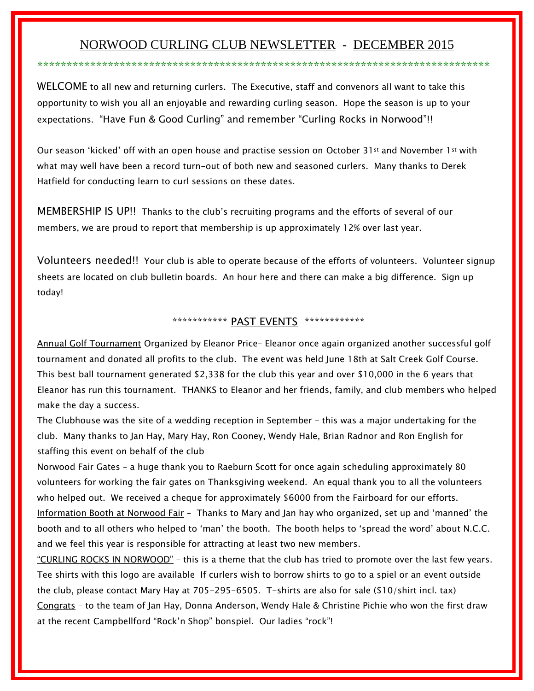# NORWOOD CURLING CLUB NEWSLETTER - DECEMBER 2015

\*\*\*\*\*\*\*\*\*\*\*\*\*\*\*\*\*\*\*\*\*\*\*\*\*\*\*\*\*\*\*\*\*\*\*\*\*\*\*\*\*\*\*\*\*\*\*\*\*\*\*\*\*\*\*\*\*\*\*\*\*\*\*\*\*\*\*\*\*\*\*\*\*\*\*\*\*

WELCOME to all new and returning curlers. The Executive, staff and convenors all want to take this opportunity to wish you all an enjoyable and rewarding curling season. Hope the season is up to your expectations. "Have Fun & Good Curling" and remember "Curling Rocks in Norwood"!!

Our season 'kicked' off with an open house and practise session on October 31st and November 1st with what may well have been a record turn-out of both new and seasoned curlers. Many thanks to Derek Hatfield for conducting learn to curl sessions on these dates.

MEMBERSHIP IS UP!! Thanks to the club's recruiting programs and the efforts of several of our members, we are proud to report that membership is up approximately 12% over last year.

Volunteers needed!! Your club is able to operate because of the efforts of volunteers. Volunteer signup sheets are located on club bulletin boards. An hour here and there can make a big difference. Sign up today!

## \*\*\*\*\*\*\*\*\*\*\*\*\* PAST EVENTS \*\*\*\*\*\*\*\*\*\*\*\*\*

Annual Golf Tournament Organized by Eleanor Price– Eleanor once again organized another successful golf tournament and donated all profits to the club. The event was held June 18th at Salt Creek Golf Course. This best ball tournament generated \$2,338 for the club this year and over \$10,000 in the 6 years that Eleanor has run this tournament. THANKS to Eleanor and her friends, family, and club members who helped make the day a success.

The Clubhouse was the site of a wedding reception in September – this was a major undertaking for the club. Many thanks to Jan Hay, Mary Hay, Ron Cooney, Wendy Hale, Brian Radnor and Ron English for staffing this event on behalf of the club

Norwood Fair Gates – a huge thank you to Raeburn Scott for once again scheduling approximately 80 volunteers for working the fair gates on Thanksgiving weekend. An equal thank you to all the volunteers who helped out. We received a cheque for approximately \$6000 from the Fairboard for our efforts. Information Booth at Norwood Fair – Thanks to Mary and Jan hay who organized, set up and 'manned' the booth and to all others who helped to 'man' the booth. The booth helps to 'spread the word' about N.C.C. and we feel this year is responsible for attracting at least two new members.

"CURLING ROCKS IN NORWOOD" – this is a theme that the club has tried to promote over the last few years. Tee shirts with this logo are available If curlers wish to borrow shirts to go to a spiel or an event outside the club, please contact Mary Hay at 705-295-6505. T-shirts are also for sale (\$10/shirt incl. tax) Congrats – to the team of Jan Hay, Donna Anderson, Wendy Hale & Christine Pichie who won the first draw at the recent Campbellford "Rock'n Shop" bonspiel. Our ladies "rock"!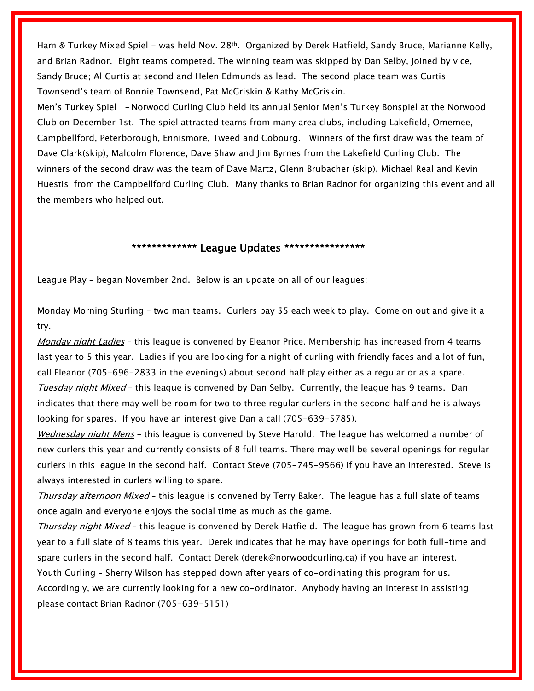Ham & Turkey Mixed Spiel - was held Nov. 28<sup>th</sup>. Organized by Derek Hatfield, Sandy Bruce, Marianne Kelly, and Brian Radnor. Eight teams competed. The winning team was skipped by Dan Selby, joined by vice, Sandy Bruce; Al Curtis at second and Helen Edmunds as lead. The second place team was Curtis Townsend's team of Bonnie Townsend, Pat McGriskin & Kathy McGriskin.

Men's Turkey Spiel - Norwood Curling Club held its annual Senior Men's Turkey Bonspiel at the Norwood Club on December 1st. The spiel attracted teams from many area clubs, including Lakefield, Omemee, Campbellford, Peterborough, Ennismore, Tweed and Cobourg. Winners of the first draw was the team of Dave Clark(skip), Malcolm Florence, Dave Shaw and Jim Byrnes from the Lakefield Curling Club. The winners of the second draw was the team of Dave Martz, Glenn Brubacher (skip), Michael Real and Kevin Huestis from the Campbellford Curling Club. Many thanks to Brian Radnor for organizing this event and all the members who helped out.

### \*\*\*\*\*\*\*\*\*\*\*\*\*\* League Updates \*\*\*\*\*\*\*\*\*\*\*\*\*\*\*\*

League Play – began November 2nd. Below is an update on all of our leagues:

Monday Morning Sturling – two man teams. Curlers pay \$5 each week to play. Come on out and give it a try.

Monday night Ladies - this league is convened by Eleanor Price. Membership has increased from 4 teams last year to 5 this year. Ladies if you are looking for a night of curling with friendly faces and a lot of fun, call Eleanor (705-696-2833 in the evenings) about second half play either as a regular or as a spare. Tuesday night Mixed - this league is convened by Dan Selby. Currently, the league has 9 teams. Dan indicates that there may well be room for two to three regular curlers in the second half and he is always looking for spares. If you have an interest give Dan a call (705-639-5785).

Wednesday night Mens - this league is convened by Steve Harold. The league has welcomed a number of new curlers this year and currently consists of 8 full teams. There may well be several openings for regular curlers in this league in the second half. Contact Steve (705-745-9566) if you have an interested. Steve is always interested in curlers willing to spare.

Thursday afternoon Mixed - this league is convened by Terry Baker. The league has a full slate of teams once again and everyone enjoys the social time as much as the game.

Thursday night Mixed - this league is convened by Derek Hatfield. The league has grown from 6 teams last year to a full slate of 8 teams this year. Derek indicates that he may have openings for both full-time and spare curlers in the second half. Contact Derek (derek@norwoodcurling.ca) if you have an interest. Youth Curling – Sherry Wilson has stepped down after years of co-ordinating this program for us. Accordingly, we are currently looking for a new co-ordinator. Anybody having an interest in assisting please contact Brian Radnor (705-639-5151)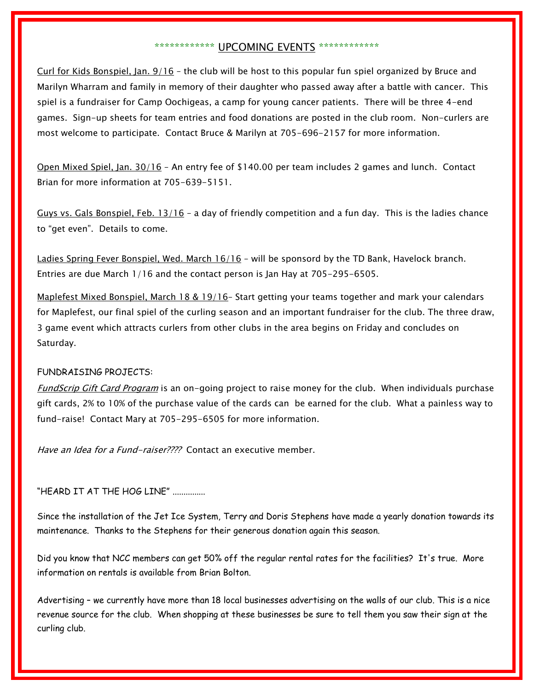### \*\*\*\*\*\*\*\*\*\*\*\*\*\*\*\* UPCOMING EVENTS \*\*\*\*\*\*\*\*\*\*\*\*\*

Curl for Kids Bonspiel, Jan. 9/16 – the club will be host to this popular fun spiel organized by Bruce and Marilyn Wharram and family in memory of their daughter who passed away after a battle with cancer. This spiel is a fundraiser for Camp Oochigeas, a camp for young cancer patients. There will be three 4-end games. Sign-up sheets for team entries and food donations are posted in the club room. Non-curlers are most welcome to participate. Contact Bruce & Marilyn at 705-696-2157 for more information.

Open Mixed Spiel, Jan. 30/16 – An entry fee of \$140.00 per team includes 2 games and lunch. Contact Brian for more information at 705-639-5151.

Guys vs. Gals Bonspiel, Feb. 13/16 - a day of friendly competition and a fun day. This is the ladies chance to "get even". Details to come.

Ladies Spring Fever Bonspiel, Wed. March 16/16 - will be sponsord by the TD Bank, Havelock branch. Entries are due March 1/16 and the contact person is Jan Hay at 705-295-6505.

Maplefest Mixed Bonspiel, March 18 & 19/16-Start getting your teams together and mark your calendars for Maplefest, our final spiel of the curling season and an important fundraiser for the club. The three draw, 3 game event which attracts curlers from other clubs in the area begins on Friday and concludes on Saturday.

#### FUNDRAISING PROJECTS:

FundScrip Gift Card Program is an on-going project to raise money for the club. When individuals purchase gift cards, 2% to 10% of the purchase value of the cards can be earned for the club. What a painless way to fund-raise! Contact Mary at 705-295-6505 for more information.

Have an Idea for a Fund-raiser???? Contact an executive member.

"HEARD IT AT THE HOG LINE" ..............

Since the installation of the Jet Ice System, Terry and Doris Stephens have made a yearly donation towards its maintenance. Thanks to the Stephens for their generous donation again this season.

Did you know that NCC members can get 50% off the regular rental rates for the facilities? It's true. More information on rentals is available from Brian Bolton.

Advertising – we currently have more than 18 local businesses advertising on the walls of our club. This is a nice revenue source for the club. When shopping at these businesses be sure to tell them you saw their sign at the curling club.